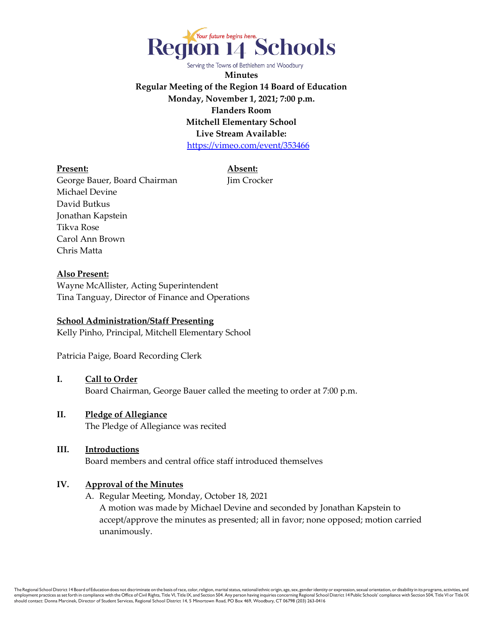

**Minutes Regular Meeting of the Region 14 Board of Education Monday, November 1, 2021; 7:00 p.m. Flanders Room Mitchell Elementary School Live Stream Available:** <https://vimeo.com/event/353466>

**Present: Absent:**

George Bauer, Board Chairman Jim Crocker Michael Devine David Butkus Jonathan Kapstein Tikva Rose Carol Ann Brown Chris Matta

**Also Present:**

Wayne McAllister, Acting Superintendent Tina Tanguay, Director of Finance and Operations

#### **School Administration/Staff Presenting**

Kelly Pinho, Principal, Mitchell Elementary School

Patricia Paige, Board Recording Clerk

#### **I. Call to Order**

Board Chairman, George Bauer called the meeting to order at 7:00 p.m.

#### **II. Pledge of Allegiance**

The Pledge of Allegiance was recited

#### **III. Introductions**

Board members and central office staff introduced themselves

#### **IV. Approval of the Minutes**

A. Regular Meeting, Monday, October 18, 2021 A motion was made by Michael Devine and seconded by Jonathan Kapstein to accept/approve the minutes as presented; all in favor; none opposed; motion carried unanimously.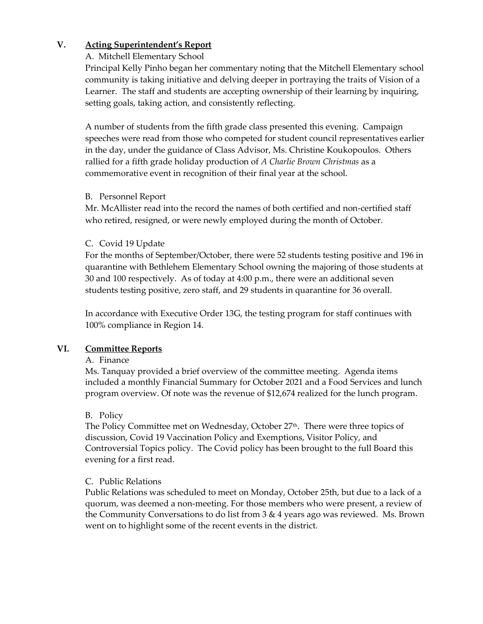## **V. Acting Superintendent's Report**

## A. Mitchell Elementary School

Principal Kelly Pinho began her commentary noting that the Mitchell Elementary school community is taking initiative and delving deeper in portraying the traits of Vision of a Learner. The staff and students are accepting ownership of their learning by inquiring, setting goals, taking action, and consistently reflecting.

A number of students from the fifth grade class presented this evening. Campaign speeches were read from those who competed for student council representatives earlier in the day, under the guidance of Class Advisor, Ms. Christine Koukopoulos. Others rallied for a fifth grade holiday production of *A Charlie Brown Christmas* as a commemorative event in recognition of their final year at the school.

## B. Personnel Report

Mr. McAllister read into the record the names of both certified and non-certified staff who retired, resigned, or were newly employed during the month of October.

# C. Covid 19 Update

For the months of September/October, there were 52 students testing positive and 196 in quarantine with Bethlehem Elementary School owning the majoring of those students at 30 and 100 respectively. As of today at 4:00 p.m., there were an additional seven students testing positive, zero staff, and 29 students in quarantine for 36 overall.

In accordance with Executive Order 13G, the testing program for staff continues with 100% compliance in Region 14.

# **VI. Committee Reports**

## A. Finance

Ms. Tanquay provided a brief overview of the committee meeting. Agenda items included a monthly Financial Summary for October 2021 and a Food Services and lunch program overview. Of note was the revenue of \$12,674 realized for the lunch program.

## B. Policy

The Policy Committee met on Wednesday, October 27<sup>th</sup>. There were three topics of discussion, Covid 19 Vaccination Policy and Exemptions, Visitor Policy, and Controversial Topics policy. The Covid policy has been brought to the full Board this evening for a first read.

# C. Public Relations

Public Relations was scheduled to meet on Monday, October 25th, but due to a lack of a quorum, was deemed a non-meeting. For those members who were present, a review of the Community Conversations to do list from  $3 \& 4$  years ago was reviewed. Ms. Brown went on to highlight some of the recent events in the district.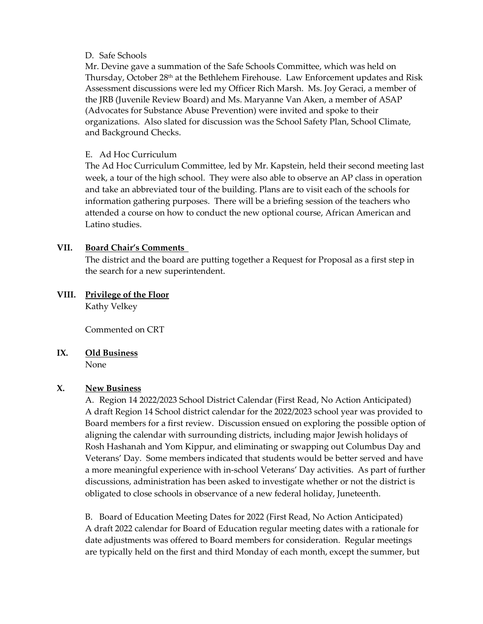#### D. Safe Schools

Mr. Devine gave a summation of the Safe Schools Committee, which was held on Thursday, October 28<sup>th</sup> at the Bethlehem Firehouse. Law Enforcement updates and Risk Assessment discussions were led my Officer Rich Marsh. Ms. Joy Geraci, a member of the JRB (Juvenile Review Board) and Ms. Maryanne Van Aken, a member of ASAP (Advocates for Substance Abuse Prevention) were invited and spoke to their organizations. Also slated for discussion was the School Safety Plan, School Climate, and Background Checks.

### E. Ad Hoc Curriculum

The Ad Hoc Curriculum Committee, led by Mr. Kapstein, held their second meeting last week, a tour of the high school. They were also able to observe an AP class in operation and take an abbreviated tour of the building. Plans are to visit each of the schools for information gathering purposes. There will be a briefing session of the teachers who attended a course on how to conduct the new optional course, African American and Latino studies.

### **VII. Board Chair's Comments**

The district and the board are putting together a Request for Proposal as a first step in the search for a new superintendent.

### **VIII. Privilege of the Floor** Kathy Velkey

Commented on CRT

## **IX. Old Business**

None

## **X. New Business**

A. Region 14 2022/2023 School District Calendar (First Read, No Action Anticipated) A draft Region 14 School district calendar for the 2022/2023 school year was provided to Board members for a first review. Discussion ensued on exploring the possible option of aligning the calendar with surrounding districts, including major Jewish holidays of Rosh Hashanah and Yom Kippur, and eliminating or swapping out Columbus Day and Veterans' Day. Some members indicated that students would be better served and have a more meaningful experience with in-school Veterans' Day activities. As part of further discussions, administration has been asked to investigate whether or not the district is obligated to close schools in observance of a new federal holiday, Juneteenth.

B. Board of Education Meeting Dates for 2022 (First Read, No Action Anticipated) A draft 2022 calendar for Board of Education regular meeting dates with a rationale for date adjustments was offered to Board members for consideration. Regular meetings are typically held on the first and third Monday of each month, except the summer, but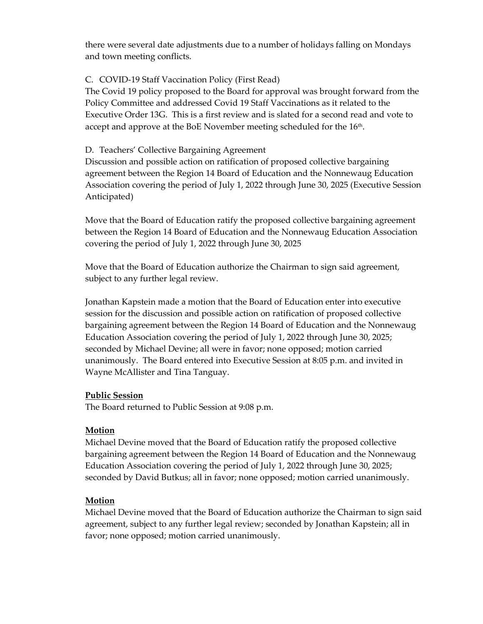there were several date adjustments due to a number of holidays falling on Mondays and town meeting conflicts.

## C. COVID-19 Staff Vaccination Policy (First Read)

The Covid 19 policy proposed to the Board for approval was brought forward from the Policy Committee and addressed Covid 19 Staff Vaccinations as it related to the Executive Order 13G. This is a first review and is slated for a second read and vote to accept and approve at the BoE November meeting scheduled for the  $16<sup>th</sup>$ .

#### D. Teachers' Collective Bargaining Agreement

Discussion and possible action on ratification of proposed collective bargaining agreement between the Region 14 Board of Education and the Nonnewaug Education Association covering the period of July 1, 2022 through June 30, 2025 (Executive Session Anticipated)

Move that the Board of Education ratify the proposed collective bargaining agreement between the Region 14 Board of Education and the Nonnewaug Education Association covering the period of July 1, 2022 through June 30, 2025

Move that the Board of Education authorize the Chairman to sign said agreement, subject to any further legal review.

Jonathan Kapstein made a motion that the Board of Education enter into executive session for the discussion and possible action on ratification of proposed collective bargaining agreement between the Region 14 Board of Education and the Nonnewaug Education Association covering the period of July 1, 2022 through June 30, 2025; seconded by Michael Devine; all were in favor; none opposed; motion carried unanimously. The Board entered into Executive Session at 8:05 p.m. and invited in Wayne McAllister and Tina Tanguay.

#### **Public Session**

The Board returned to Public Session at 9:08 p.m.

## **Motion**

Michael Devine moved that the Board of Education ratify the proposed collective bargaining agreement between the Region 14 Board of Education and the Nonnewaug Education Association covering the period of July 1, 2022 through June 30, 2025; seconded by David Butkus; all in favor; none opposed; motion carried unanimously.

## **Motion**

Michael Devine moved that the Board of Education authorize the Chairman to sign said agreement, subject to any further legal review; seconded by Jonathan Kapstein; all in favor; none opposed; motion carried unanimously.